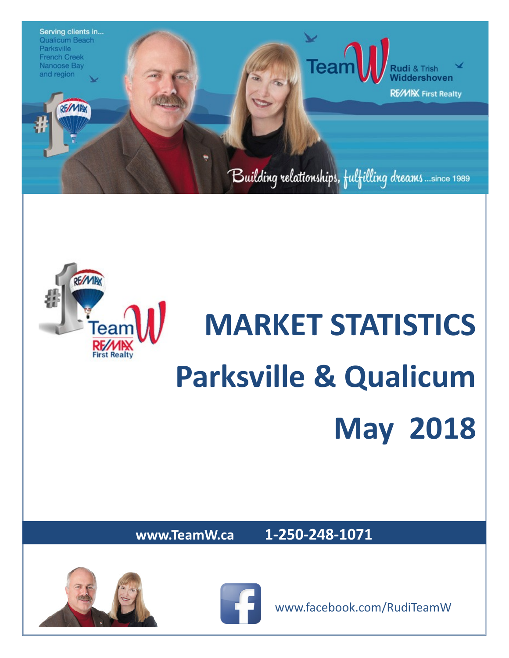



# **MARKET STATISTICS Parksville & Qualicum May 2018**

**www.TeamW.ca 1-250-248-1071** 





www.facebook.com/RudiTeamW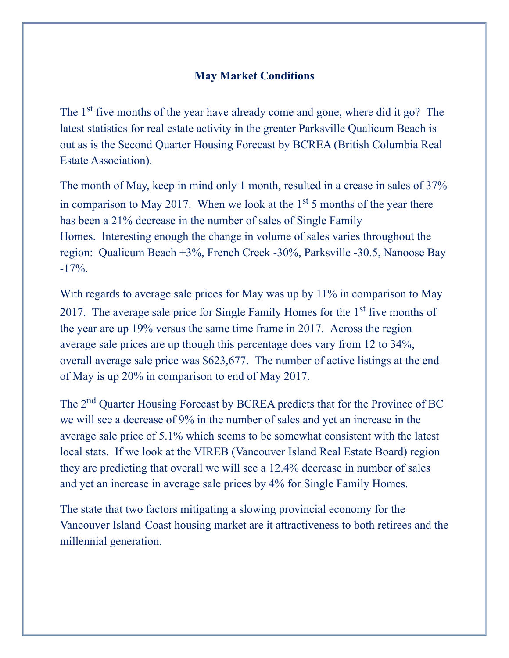#### **May Market Conditions**

The 1<sup>st</sup> five months of the year have already come and gone, where did it go? The latest statistics for real estate activity in the greater Parksville Qualicum Beach is out as is the Second Quarter Housing Forecast by BCREA (British Columbia Real Estate Association).

The month of May, keep in mind only 1 month, resulted in a crease in sales of 37% in comparison to May 2017. When we look at the  $1<sup>st</sup> 5$  months of the year there has been a 21% decrease in the number of sales of Single Family Homes. Interesting enough the change in volume of sales varies throughout the region: Qualicum Beach +3%, French Creek -30%, Parksville -30.5, Nanoose Bay  $-17\%$ .

With regards to average sale prices for May was up by 11% in comparison to May 2017. The average sale price for Single Family Homes for the  $1<sup>st</sup>$  five months of the year are up 19% versus the same time frame in 2017. Across the region average sale prices are up though this percentage does vary from 12 to 34%, overall average sale price was \$623,677. The number of active listings at the end of May is up 20% in comparison to end of May 2017.

The 2nd Quarter Housing Forecast by BCREA predicts that for the Province of BC we will see a decrease of 9% in the number of sales and yet an increase in the average sale price of 5.1% which seems to be somewhat consistent with the latest local stats. If we look at the VIREB (Vancouver Island Real Estate Board) region they are predicting that overall we will see a 12.4% decrease in number of sales and yet an increase in average sale prices by 4% for Single Family Homes.

The state that two factors mitigating a slowing provincial economy for the Vancouver Island-Coast housing market are it attractiveness to both retirees and the millennial generation.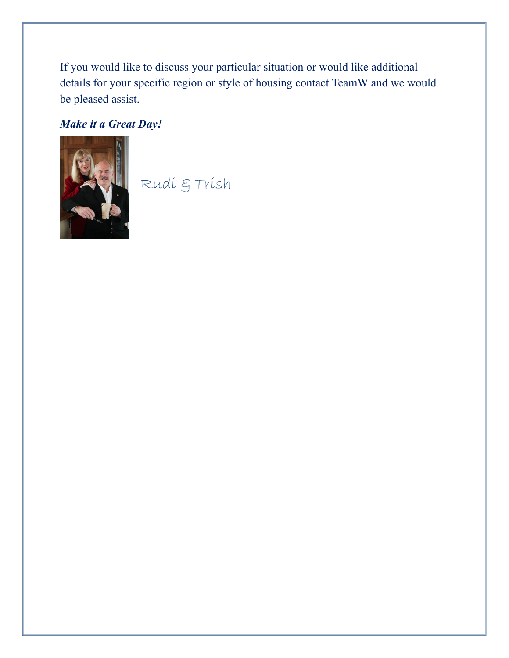If you would like to discuss your particular situation or would like additional details for your specific region or style of housing contact TeamW and we would be pleased assist.

### *Make it a Great Day!*



Rudi & Trish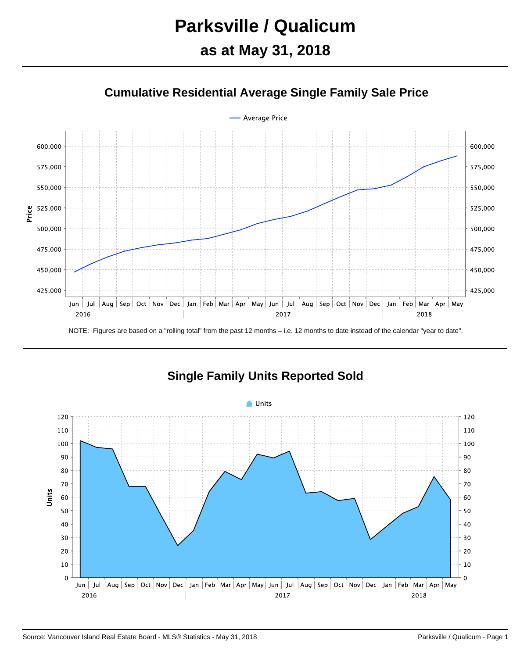# **Parksville / Qualicum**

# **as at May 31, 2018**





NOTE: Figures are based on a "rolling total" from the past 12 months – i.e. 12 months to date instead of the calendar "year to date".



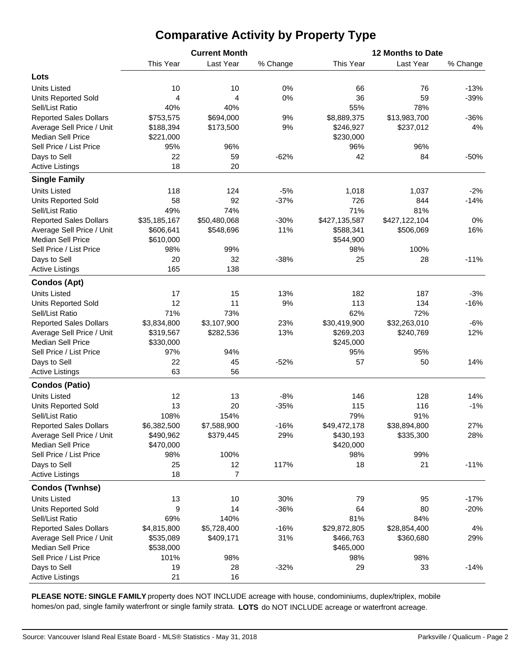## **Comparative Activity by Property Type**

|                                        |              | <b>Current Month</b> |          | 12 Months to Date |               |          |  |  |  |  |
|----------------------------------------|--------------|----------------------|----------|-------------------|---------------|----------|--|--|--|--|
|                                        | This Year    | Last Year            | % Change | This Year         | Last Year     | % Change |  |  |  |  |
| Lots                                   |              |                      |          |                   |               |          |  |  |  |  |
| <b>Units Listed</b>                    | 10           | 10                   | 0%       | 66                | 76            | $-13%$   |  |  |  |  |
| <b>Units Reported Sold</b>             | 4            | 4                    | 0%       | 36                | 59            | $-39%$   |  |  |  |  |
| Sell/List Ratio                        | 40%          | 40%                  |          | 55%               | 78%           |          |  |  |  |  |
| <b>Reported Sales Dollars</b>          | \$753,575    | \$694,000            | 9%       | \$8,889,375       | \$13,983,700  | $-36%$   |  |  |  |  |
| Average Sell Price / Unit              | \$188,394    | \$173,500            | 9%       | \$246,927         | \$237,012     | 4%       |  |  |  |  |
| <b>Median Sell Price</b>               | \$221,000    |                      |          | \$230,000         |               |          |  |  |  |  |
| Sell Price / List Price                | 95%          | 96%                  |          | 96%               | 96%           |          |  |  |  |  |
| Days to Sell                           | 22           | 59                   | $-62%$   | 42                | 84            | $-50%$   |  |  |  |  |
| <b>Active Listings</b>                 | 18           | 20                   |          |                   |               |          |  |  |  |  |
| <b>Single Family</b>                   |              |                      |          |                   |               |          |  |  |  |  |
| <b>Units Listed</b>                    | 118          | 124                  | $-5%$    | 1,018             | 1,037         | $-2%$    |  |  |  |  |
| <b>Units Reported Sold</b>             | 58           | 92                   | $-37%$   | 726               | 844           | $-14%$   |  |  |  |  |
| Sell/List Ratio                        | 49%          | 74%                  |          | 71%               | 81%           |          |  |  |  |  |
| <b>Reported Sales Dollars</b>          | \$35,185,167 | \$50,480,068         | $-30%$   | \$427,135,587     | \$427,122,104 | 0%       |  |  |  |  |
| Average Sell Price / Unit              | \$606,641    | \$548,696            | 11%      | \$588,341         | \$506,069     | 16%      |  |  |  |  |
| <b>Median Sell Price</b>               | \$610,000    |                      |          | \$544,900         |               |          |  |  |  |  |
| Sell Price / List Price                | 98%          | 99%                  |          | 98%               | 100%          |          |  |  |  |  |
|                                        | 20           | 32                   | $-38%$   | 25                | 28            | $-11%$   |  |  |  |  |
| Days to Sell<br><b>Active Listings</b> | 165          | 138                  |          |                   |               |          |  |  |  |  |
|                                        |              |                      |          |                   |               |          |  |  |  |  |
| <b>Condos (Apt)</b>                    |              |                      |          |                   |               |          |  |  |  |  |
| <b>Units Listed</b>                    | 17           | 15                   | 13%      | 182               | 187           | $-3%$    |  |  |  |  |
| <b>Units Reported Sold</b>             | 12           | 11                   | 9%       | 113               | 134           | $-16%$   |  |  |  |  |
| Sell/List Ratio                        | 71%          | 73%                  |          | 62%               | 72%           |          |  |  |  |  |
| <b>Reported Sales Dollars</b>          | \$3,834,800  | \$3,107,900          | 23%      | \$30,419,900      | \$32,263,010  | $-6%$    |  |  |  |  |
| Average Sell Price / Unit              | \$319,567    | \$282,536            | 13%      | \$269,203         | \$240,769     | 12%      |  |  |  |  |
| <b>Median Sell Price</b>               | \$330,000    |                      |          | \$245,000         |               |          |  |  |  |  |
| Sell Price / List Price                | 97%          | 94%                  |          | 95%               | 95%           |          |  |  |  |  |
| Days to Sell                           | 22           | 45                   | $-52%$   | 57                | 50            | 14%      |  |  |  |  |
| <b>Active Listings</b>                 | 63           | 56                   |          |                   |               |          |  |  |  |  |
| <b>Condos (Patio)</b>                  |              |                      |          |                   |               |          |  |  |  |  |
| <b>Units Listed</b>                    | 12           | 13                   | $-8%$    | 146               | 128           | 14%      |  |  |  |  |
| <b>Units Reported Sold</b>             | 13           | 20                   | $-35%$   | 115               | 116           | $-1%$    |  |  |  |  |
| Sell/List Ratio                        | 108%         | 154%                 |          | 79%               | 91%           |          |  |  |  |  |
| <b>Reported Sales Dollars</b>          | \$6,382,500  | \$7,588,900          | $-16%$   | \$49,472,178      | \$38,894,800  | 27%      |  |  |  |  |
| Average Sell Price / Unit              | \$490,962    | \$379,445            | 29%      | \$430,193         | \$335,300     | 28%      |  |  |  |  |
| <b>Median Sell Price</b>               | \$470,000    |                      |          | \$420,000         |               |          |  |  |  |  |
| Sell Price / List Price                | 98%          | 100%                 |          | 98%               | 99%           |          |  |  |  |  |
| Days to Sell                           | 25           | 12                   | 117%     | 18                | 21            | $-11%$   |  |  |  |  |
| <b>Active Listings</b>                 | 18           | $\overline{7}$       |          |                   |               |          |  |  |  |  |
| <b>Condos (Twnhse)</b>                 |              |                      |          |                   |               |          |  |  |  |  |
| <b>Units Listed</b>                    | 13           | 10                   | 30%      | 79                | 95            | $-17%$   |  |  |  |  |
| <b>Units Reported Sold</b>             | 9            | 14                   | $-36%$   | 64                | 80            | $-20%$   |  |  |  |  |
| Sell/List Ratio                        | 69%          | 140%                 |          | 81%               | 84%           |          |  |  |  |  |
| <b>Reported Sales Dollars</b>          | \$4,815,800  | \$5,728,400          | $-16%$   | \$29,872,805      | \$28,854,400  | 4%       |  |  |  |  |
| Average Sell Price / Unit              | \$535,089    | \$409,171            | 31%      | \$466,763         | \$360,680     | 29%      |  |  |  |  |
| <b>Median Sell Price</b>               | \$538,000    |                      |          | \$465,000         |               |          |  |  |  |  |
| Sell Price / List Price                | 101%         | 98%                  |          | 98%               | 98%           |          |  |  |  |  |
| Days to Sell                           | 19           | 28                   | $-32%$   | 29                | 33            | $-14%$   |  |  |  |  |
| <b>Active Listings</b>                 | 21           | 16                   |          |                   |               |          |  |  |  |  |

**PLEASE NOTE: SINGLE FAMILY** property does NOT INCLUDE acreage with house, condominiums, duplex/triplex, mobile homes/on pad, single family waterfront or single family strata. **LOTS** do NOT INCLUDE acreage or waterfront acreage.